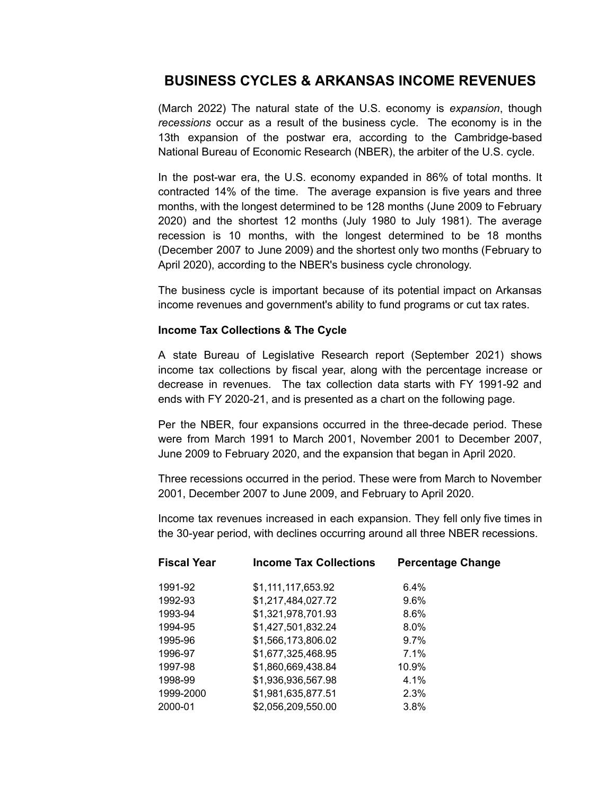## **BUSINESS CYCLES & ARKANSAS INCOME REVENUES**

(March 2022) The natural state of the U.S. economy is *expansion*, though *recessions* occur as a result of the business cycle. The economy is in the 13th expansion of the postwar era, according to the Cambridge-based National Bureau of Economic Research (NBER), the arbiter of the U.S. cycle.

In the post-war era, the U.S. economy expanded in 86% of total months. It contracted 14% of the time. The average expansion is five years and three months, with the longest determined to be 128 months (June 2009 to February 2020) and the shortest 12 months (July 1980 to July 1981). The average recession is 10 months, with the longest determined to be 18 months (December 2007 to June 2009) and the shortest only two months (February to April 2020), according to the NBER's business cycle chronology.

The business cycle is important because of its potential impact on Arkansas income revenues and government's ability to fund programs or cut tax rates.

## **Income Tax Collections & The Cycle**

A state Bureau of Legislative Research report (September 2021) shows income tax collections by fiscal year, along with the percentage increase or decrease in revenues. The tax collection data starts with FY 1991-92 and ends with FY 2020-21, and is presented as a chart on the following page.

Per the NBER, four expansions occurred in the three-decade period. These were from March 1991 to March 2001, November 2001 to December 2007, June 2009 to February 2020, and the expansion that began in April 2020.

Three recessions occurred in the period. These were from March to November 2001, December 2007 to June 2009, and February to April 2020.

Income tax revenues increased in each expansion. They fell only five times in the 30-year period, with declines occurring around all three NBER recessions.

| <b>Fiscal Year</b> | <b>Income Tax Collections</b> | <b>Percentage Change</b> |
|--------------------|-------------------------------|--------------------------|
| 1991-92            | \$1,111,117,653.92            | 6.4%                     |
| 1992-93            | \$1,217,484,027.72            | $9.6\%$                  |
| 1993-94            | \$1,321,978,701.93            | 8.6%                     |
| 1994-95            | \$1,427,501,832.24            | 8.0%                     |
| 1995-96            | \$1,566,173,806.02            | 9.7%                     |
| 1996-97            | \$1,677,325,468.95            | 7.1%                     |
| 1997-98            | \$1,860,669,438.84            | 10.9%                    |
| 1998-99            | \$1,936,936,567.98            | 4.1%                     |
| 1999-2000          | \$1,981,635,877.51            | 2.3%                     |
| 2000-01            | \$2,056,209,550.00            | 3.8%                     |